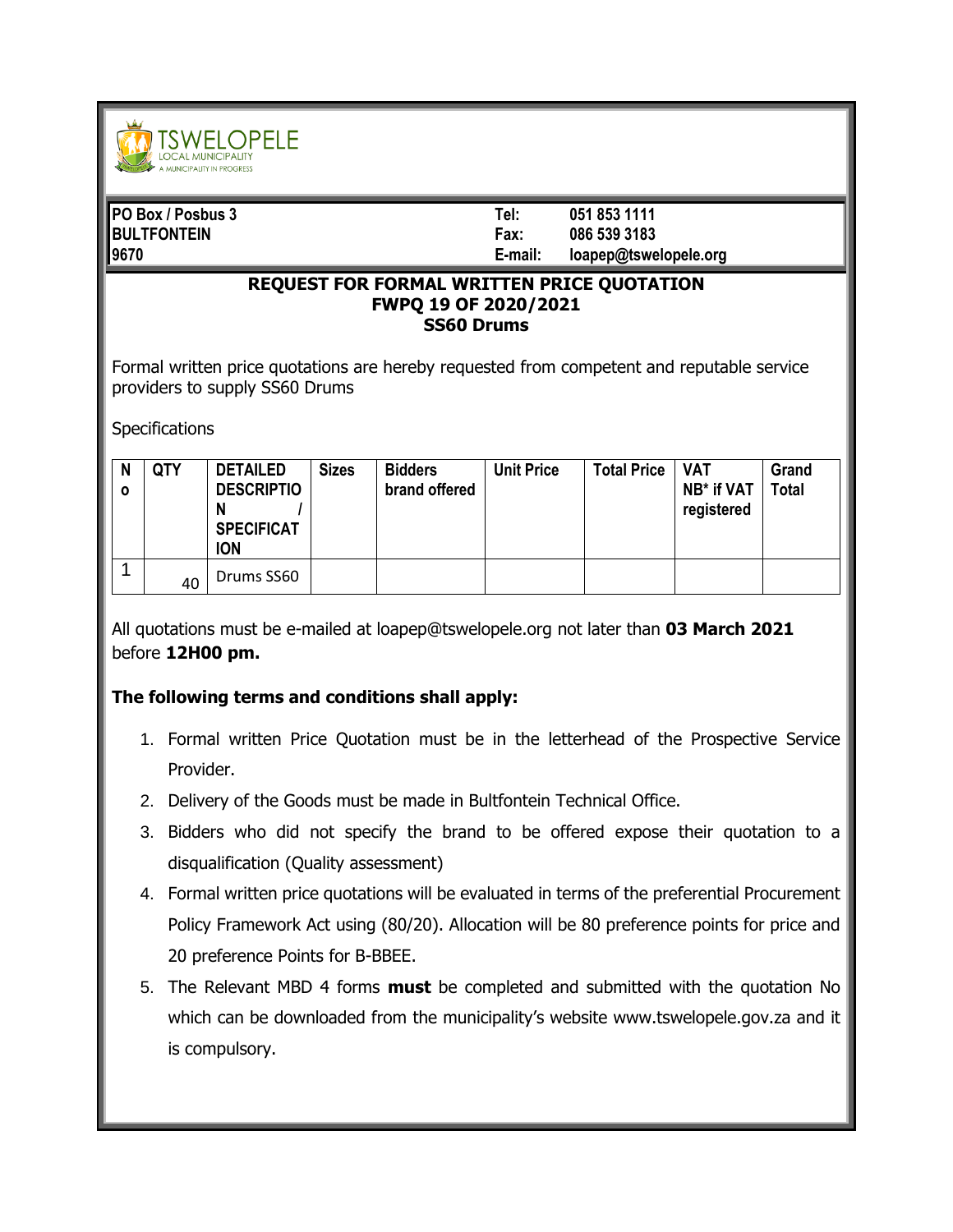

| <b>PO Box / Posbus 3</b> | Tel:    | 051 853 1111          |
|--------------------------|---------|-----------------------|
| <b>BULTFONTEIN</b>       | Fax:    | 086 539 3183          |
| 19670                    | E-mail: | loapep@tswelopele.org |

## **REQUEST FOR FORMAL WRITTEN PRICE QUOTATION FWPQ 19 OF 2020/2021 SS60 Drums**

Formal written price quotations are hereby requested from competent and reputable service providers to supply SS60 Drums

**Specifications** 

| N<br>$\mathbf{o}$ | <b>QTY</b> | <b>DETAILED</b><br><b>DESCRIPTIO</b><br><b>SPECIFICAT</b><br><b>ION</b> | <b>Sizes</b> | <b>Bidders</b><br>brand offered | <b>Unit Price</b> | <b>Total Price</b> | <b>VAT</b><br>NB* if VAT<br>registered | Grand<br><b>Total</b> |
|-------------------|------------|-------------------------------------------------------------------------|--------------|---------------------------------|-------------------|--------------------|----------------------------------------|-----------------------|
|                   | 40         | Drums SS60                                                              |              |                                 |                   |                    |                                        |                       |

All quotations must be e-mailed at loapep@tswelopele.org not later than **03 March 2021** before **12H00 pm.**

## **The following terms and conditions shall apply:**

- 1. Formal written Price Quotation must be in the letterhead of the Prospective Service Provider.
- 2. Delivery of the Goods must be made in Bultfontein Technical Office.
- 3. Bidders who did not specify the brand to be offered expose their quotation to a disqualification (Quality assessment)
- 4. Formal written price quotations will be evaluated in terms of the preferential Procurement Policy Framework Act using (80/20). Allocation will be 80 preference points for price and 20 preference Points for B-BBEE.
- 5. The Relevant MBD 4 forms **must** be completed and submitted with the quotation No which can be downloaded from the municipality's website www.tswelopele.gov.za and it is compulsory.